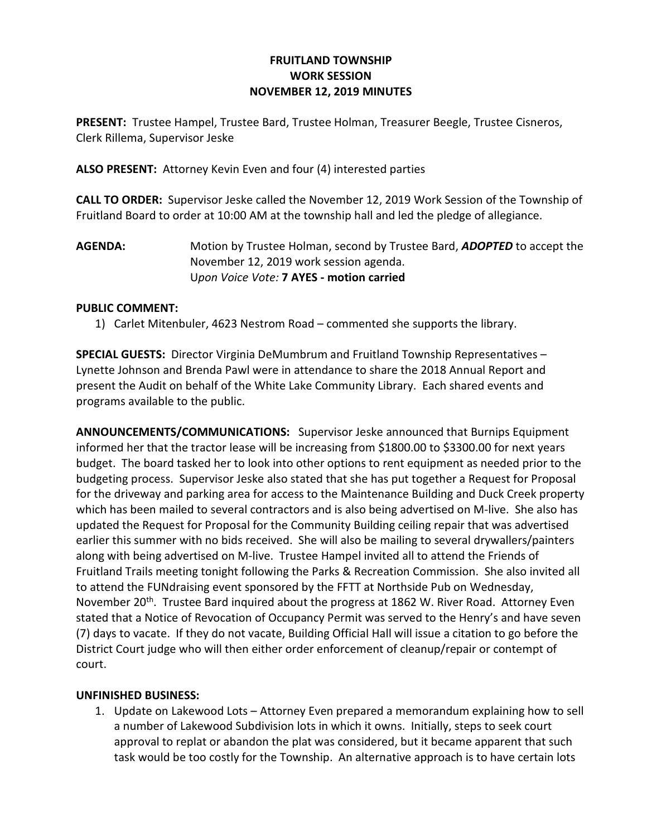### FRUITLAND TOWNSHIP WORK SESSION NOVEMBER 12, 2019 MINUTES

PRESENT: Trustee Hampel, Trustee Bard, Trustee Holman, Treasurer Beegle, Trustee Cisneros, Clerk Rillema, Supervisor Jeske

ALSO PRESENT: Attorney Kevin Even and four (4) interested parties

CALL TO ORDER: Supervisor Jeske called the November 12, 2019 Work Session of the Township of Fruitland Board to order at 10:00 AM at the township hall and led the pledge of allegiance.

AGENDA: Motion by Trustee Holman, second by Trustee Bard, ADOPTED to accept the November 12, 2019 work session agenda. Upon Voice Vote: 7 AYES - motion carried

#### PUBLIC COMMENT:

1) Carlet Mitenbuler, 4623 Nestrom Road – commented she supports the library.

SPECIAL GUESTS: Director Virginia DeMumbrum and Fruitland Township Representatives – Lynette Johnson and Brenda Pawl were in attendance to share the 2018 Annual Report and present the Audit on behalf of the White Lake Community Library. Each shared events and programs available to the public.

ANNOUNCEMENTS/COMMUNICATIONS: Supervisor Jeske announced that Burnips Equipment informed her that the tractor lease will be increasing from \$1800.00 to \$3300.00 for next years budget. The board tasked her to look into other options to rent equipment as needed prior to the budgeting process. Supervisor Jeske also stated that she has put together a Request for Proposal for the driveway and parking area for access to the Maintenance Building and Duck Creek property which has been mailed to several contractors and is also being advertised on M-live. She also has updated the Request for Proposal for the Community Building ceiling repair that was advertised earlier this summer with no bids received. She will also be mailing to several drywallers/painters along with being advertised on M-live. Trustee Hampel invited all to attend the Friends of Fruitland Trails meeting tonight following the Parks & Recreation Commission. She also invited all to attend the FUNdraising event sponsored by the FFTT at Northside Pub on Wednesday, November 20<sup>th</sup>. Trustee Bard inquired about the progress at 1862 W. River Road. Attorney Even stated that a Notice of Revocation of Occupancy Permit was served to the Henry's and have seven (7) days to vacate. If they do not vacate, Building Official Hall will issue a citation to go before the District Court judge who will then either order enforcement of cleanup/repair or contempt of court.

### UNFINISHED BUSINESS:

1. Update on Lakewood Lots – Attorney Even prepared a memorandum explaining how to sell a number of Lakewood Subdivision lots in which it owns. Initially, steps to seek court approval to replat or abandon the plat was considered, but it became apparent that such task would be too costly for the Township. An alternative approach is to have certain lots